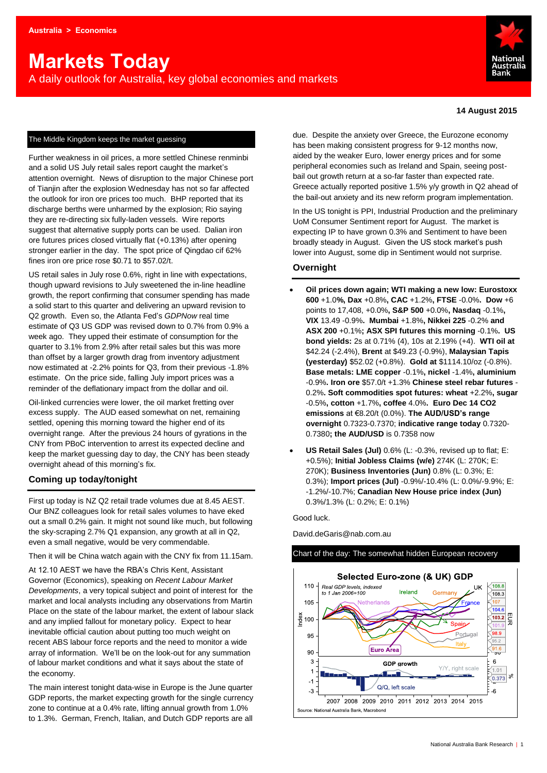# **Markets Today**

A daily outlook for Australia, key global economies and markets



#### **14 August 2015**

#### The Middle Kingdom keeps the market guessing

Further weakness in oil prices, a more settled Chinese renminbi and a solid US July retail sales report caught the market's attention overnight. News of disruption to the major Chinese port of Tianjin after the explosion Wednesday has not so far affected the outlook for iron ore prices too much. BHP reported that its discharge berths were unharmed by the explosion; Rio saying they are re-directing six fully-laden vessels. Wire reports suggest that alternative supply ports can be used. Dalian iron ore futures prices closed virtually flat (+0.13%) after opening stronger earlier in the day. The spot price of Qingdao cif 62% fines iron ore price rose \$0.71 to \$57.02/t.

US retail sales in July rose 0.6%, right in line with expectations, though upward revisions to July sweetened the in-line headline growth, the report confirming that consumer spending has made a solid start to this quarter and delivering an upward revision to Q2 growth. Even so, the Atlanta Fed's *GDPNow* real time estimate of Q3 US GDP was revised down to 0.7% from 0.9% a week ago. They upped their estimate of consumption for the quarter to 3.1% from 2.9% after retail sales but this was more than offset by a larger growth drag from inventory adjustment now estimated at -2.2% points for Q3, from their previous -1.8% estimate. On the price side, falling July import prices was a reminder of the deflationary impact from the dollar and oil.

Oil-linked currencies were lower, the oil market fretting over excess supply. The AUD eased somewhat on net, remaining settled, opening this morning toward the higher end of its overnight range. After the previous 24 hours of gyrations in the CNY from PBoC intervention to arrest its expected decline and keep the market guessing day to day, the CNY has been steady overnight ahead of this morning's fix.

#### **Coming up today/tonight**

First up today is NZ Q2 retail trade volumes due at 8.45 AEST. Our BNZ colleagues look for retail sales volumes to have eked out a small 0.2% gain. It might not sound like much, but following the sky-scraping 2.7% Q1 expansion, any growth at all in Q2, even a small negative, would be very commendable.

Then it will be China watch again with the CNY fix from 11.15am.

At 12.10 AEST we have the RBA's Chris Kent, Assistant Governor (Economics), speaking on *Recent Labour Market Developments*, a very topical subject and point of interest for the market and local analysts including any observations from Martin Place on the state of the labour market, the extent of labour slack and any implied fallout for monetary policy. Expect to hear inevitable official caution about putting too much weight on recent ABS labour force reports and the need to monitor a wide array of information. We'll be on the look-out for any summation of labour market conditions and what it says about the state of the economy.

The main interest tonight data-wise in Europe is the June quarter GDP reports, the market expecting growth for the single currency zone to continue at a 0.4% rate, lifting annual growth from 1.0% to 1.3%. German, French, Italian, and Dutch GDP reports are all

due. Despite the anxiety over Greece, the Eurozone economy has been making consistent progress for 9-12 months now, aided by the weaker Euro, lower energy prices and for some peripheral economies such as Ireland and Spain, seeing postbail out growth return at a so-far faster than expected rate. Greece actually reported positive 1.5% y/y growth in Q2 ahead of the bail-out anxiety and its new reform program implementation.

In the US tonight is PPI, Industrial Production and the preliminary UoM Consumer Sentiment report for August. The market is expecting IP to have grown 0.3% and Sentiment to have been broadly steady in August. Given the US stock market's push lower into August, some dip in Sentiment would not surprise.

#### **Overnight**

- **Oil prices down again; WTI making a new low: Eurostoxx 600** +1.0**%, Dax** +0.8%**, CAC** +1.2%**, FTSE** -0.0%**. Dow** +6 points to 17,408, +0.0%**, S&P 500** +0.0%**, Nasdaq** -0.1%**, VIX** 13.49 -0.9%**. Mumbai** +1.8%**, Nikkei 225** -0.2% **and ASX 200** +0.1%**; ASX SPI futures this morning** -0.1%**. US bond yields:** 2s at 0.71% (4), 10s at 2.19% (+4). **WTI oil at**  \$42.24 (-2.4%), **Brent** at \$49.23 (-0.9%), **Malaysian Tapis (yesterday)** \$52.02 (+0.8%). **Gold at** \$1114.10/oz (-0.8%). **Base metals: LME copper** -0.1%**, nickel** -1.4%**, aluminium** -0.9%**. Iron ore** \$57.0/t +1.3% **Chinese steel rebar futures** - 0.2%**. Soft commodities spot futures: wheat** +2.2%**, sugar** -0.5%**, cotton** +1.7%**, coffee** 4.0%**. Euro Dec 14 CO2 emissions** at €8.20/t (0.0%). **The AUD/USD's range overnight** 0.7323-0.7370; **indicative range today** 0.7320- 0.7380**; the AUD/USD** is 0.7358 now
- **US Retail Sales (Jul)** 0.6% (L: -0.3%, revised up to flat; E: +0.5%); **Initial Jobless Claims (w/e)** 274K (L: 270K; E: 270K); **Business Inventories (Jun)** 0.8% (L: 0.3%; E: 0.3%); **Import prices (Jul)** -0.9%/-10.4% (L: 0.0%/-9.9%; E: -1.2%/-10.7%; **Canadian New House price index (Jun)** 0.3%/1.3% (L: 0.2%; E: 0.1%)

#### Good luck.

David.deGaris@nab.com.au

#### Chart of the day: The somewhat hidden European recovery

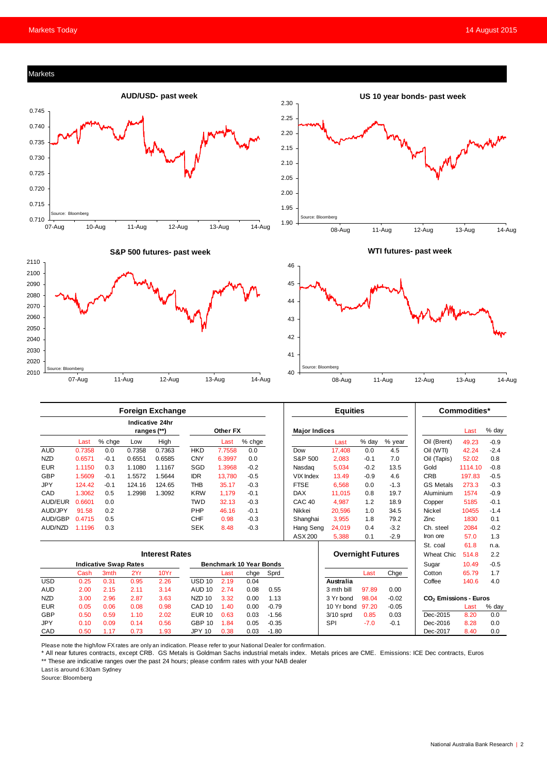

|                              |                       |        |        | <b>Indicative 24hr</b><br>ranges (**) |                                | Other FX |        |         | <b>Major Indices</b>     |                  |        |             |                                   | Last    | % day  |
|------------------------------|-----------------------|--------|--------|---------------------------------------|--------------------------------|----------|--------|---------|--------------------------|------------------|--------|-------------|-----------------------------------|---------|--------|
|                              | Last                  | % chge | Low    | High                                  |                                | Last     | % chge |         |                          | Last             | % day  | % year      | Oil (Brent)                       | 49.23   | $-0.9$ |
| <b>AUD</b>                   | 0.7358                | 0.0    | 0.7358 | 0.7363                                | <b>HKD</b>                     | 7.7558   | 0.0    |         | Dow                      | 17,408           | 0.0    | 4.5         | Oil (WTI)                         | 42.24   | $-2.4$ |
| <b>NZD</b>                   | 0.6571                | $-0.1$ | 0.6551 | 0.6585                                | <b>CNY</b>                     | 6.3997   | 0.0    |         | S&P 500                  | 2,083            | $-0.1$ | 7.0         | Oil (Tapis)                       | 52.02   | 0.8    |
| <b>EUR</b>                   | 1.1150                | 0.3    | 1.1080 | 1.1167                                | SGD                            | 1.3968   | $-0.2$ |         | Nasdag                   | 5,034            | $-0.2$ | 13.5        | Gold                              | 1114.10 | $-0.8$ |
| <b>GBP</b>                   | 1.5609                | $-0.1$ | 1.5572 | 1.5644                                | <b>IDR</b>                     | 13.780   | $-0.5$ |         | <b>VIX Index</b>         | 13.49            | $-0.9$ | 4.6         | <b>CRB</b>                        | 197.83  | $-0.5$ |
| <b>JPY</b>                   | 124.42                | $-0.1$ | 124.16 | 124.65                                | <b>THB</b>                     | 35.17    | $-0.3$ |         | <b>FTSE</b>              | 6,568            | 0.0    | $-1.3$      | <b>GS Metals</b>                  | 273.3   | $-0.3$ |
| CAD                          | 1.3062                | 0.5    | 1.2998 | 1.3092                                | <b>KRW</b>                     | 1.179    | $-0.1$ |         | <b>DAX</b>               | 11.015           | 0.8    | 19.7        | Aluminium                         | 1574    | $-0.9$ |
| AUD/EUR                      | 0.6601                | 0.0    |        |                                       | <b>TWD</b>                     | 32.13    | $-0.3$ |         | CAC <sub>40</sub>        | 4,987            | 1.2    | 18.9        | Copper                            | 5185    | $-0.1$ |
| AUD/JPY                      | 91.58                 | 0.2    |        |                                       | PHP                            | 46.16    | $-0.1$ |         | Nikkei                   | 20,596           | 1.0    | 34.5        | Nickel                            | 10455   | $-1.4$ |
| AUD/GBP                      | 0.4715                | 0.5    |        |                                       | <b>CHF</b>                     | 0.98     | $-0.3$ |         | Shanghai                 | 3,955            | 1.8    | 79.2        | Zinc                              | 1830    | 0.1    |
| AUD/NZD                      | 1.1196                | 0.3    |        |                                       | <b>SEK</b>                     | 8.48     | $-0.3$ |         | Hang Seng                | 24.019           | 0.4    | $-3.2$      | Ch. steel                         | 2084    | $-0.2$ |
|                              |                       |        |        |                                       |                                |          |        |         | ASX 200                  | 5,388            | 0.1    | $-2.9$      | Iron ore                          | 57.0    | 1.3    |
|                              |                       |        |        |                                       |                                |          |        |         |                          |                  |        |             | St. coal                          | 61.8    | n.a.   |
|                              | <b>Interest Rates</b> |        |        |                                       |                                |          |        |         | <b>Overnight Futures</b> |                  |        | Wheat Chic. | 514.8                             | 2.2     |        |
| <b>Indicative Swap Rates</b> |                       |        |        |                                       | <b>Benchmark 10 Year Bonds</b> |          |        |         |                          |                  |        |             | Sugar                             | 10.49   | $-0.5$ |
|                              | Cash                  | 3mth   | 2Yr    | 10Yr                                  |                                | Last     | chge   | Sprd    |                          |                  | Last   | Chge        | Cotton                            | 65.79   | 1.7    |
| <b>USD</b>                   | 0.25                  | 0.31   | 0.95   | 2.26                                  | <b>USD 10</b>                  | 2.19     | 0.04   |         |                          | <b>Australia</b> |        |             | Coffee                            | 140.6   | 4.0    |
| <b>AUD</b>                   | 2.00                  | 2.15   | 2.11   | 3.14                                  | <b>AUD 10</b>                  | 2.74     | 0.08   | 0.55    |                          | 3 mth bill       | 97.89  | 0.00        |                                   |         |        |
| <b>NZD</b>                   | 3.00                  | 2.96   | 2.87   | 3.63                                  | NZD 10                         | 3.32     | 0.00   | 1.13    |                          | 3 Yr bond        | 98.04  | $-0.02$     | CO <sub>2</sub> Emissions - Euros |         |        |
| <b>EUR</b>                   | 0.05                  | 0.06   | 0.08   | 0.98                                  | CAD <sub>10</sub>              | 1.40     | 0.00   | $-0.79$ |                          | 10 Yr bond       | 97.20  | $-0.05$     |                                   | Last    | % day  |
| <b>GBP</b>                   | 0.50                  | 0.59   | 1.10   | 2.02                                  | <b>EUR 10</b>                  | 0.63     | 0.03   | $-1.56$ |                          | $3/10$ sprd      | 0.85   | 0.03        | Dec-2015                          | 8.20    | 0.0    |
| JPY                          | 0.10                  | 0.09   | 0.14   | 0.56                                  | <b>GBP 10</b>                  | 1.84     | 0.05   | $-0.35$ |                          | <b>SPI</b>       | $-7.0$ | $-0.1$      | Dec-2016                          | 8.28    | 0.0    |
| CAD                          | 0.50                  | 1.17   | 0.73   | 1.93                                  | <b>JPY 10</b>                  | 0.38     | 0.03   | $-1.80$ |                          |                  |        |             | Dec-2017                          | 8.40    | 0.0    |

Please note the high/low FX rates are only an indication. Please refer to your National Dealer for confirmation.

\* All near futures contracts, except CRB. GS Metals is Goldman Sachs industrial metals index. Metals prices are CME. Emissions: ICE Dec contracts, Euros \*\* These are indicative ranges over the past 24 hours; please confirm rates with your NAB dealer

Last is around 6:30am Sydney

Source: Bloomberg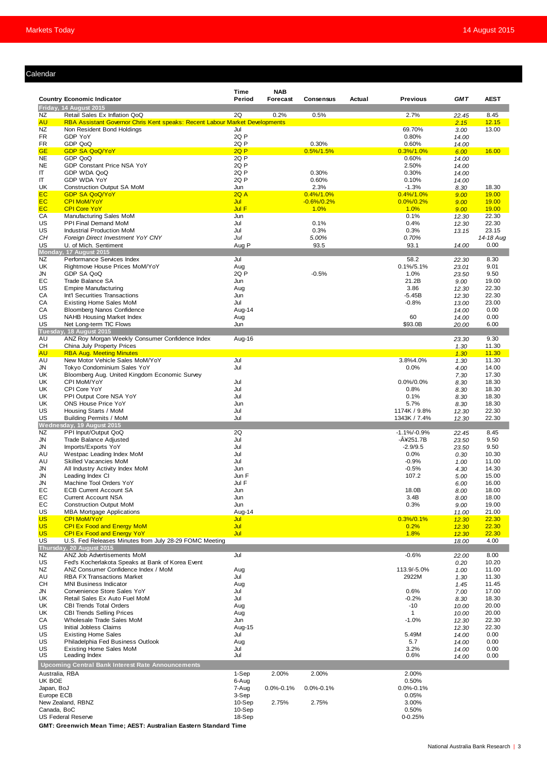#### Calendar

| lendar                 |                                                                                                              |                  |                        |                 |        |                       |                |                |
|------------------------|--------------------------------------------------------------------------------------------------------------|------------------|------------------------|-----------------|--------|-----------------------|----------------|----------------|
|                        | <b>Country Economic Indicator</b>                                                                            | Time<br>Period   | <b>NAB</b><br>Forecast | Consensus       | Actual | <b>Previous</b>       | <b>GMT</b>     | <b>AEST</b>    |
|                        | Friday, 14 August 2015                                                                                       |                  |                        |                 |        |                       |                |                |
| NZ<br><b>AU</b>        | Retail Sales Ex Inflation QoQ<br>RBA Assistant Governor Chris Kent speaks: Recent Labour Market Developments | 2Q               | 0.2%                   | 0.5%            |        | 2.7%                  | 22.45<br>2.15  | 8.45<br>12.15  |
| NZ                     | Non Resident Bond Holdings                                                                                   | Jul              |                        |                 |        | 69.70%                | 3.00           | 13.00          |
| <b>FR</b>              | GDP YoY                                                                                                      | 2Q P             |                        |                 |        | 0.80%                 | 14.00          |                |
| <b>FR</b>              | GDP QoQ                                                                                                      | 2Q P             |                        | 0.30%           |        | 0.60%                 | 14.00          |                |
| <b>GE</b>              | <b>GDP SA QoQ/YoY</b>                                                                                        | 2QP              |                        | $0.5\%/1.5\%$   |        | 0.3% / 1.0%           | 6.00           | 16.00          |
| <b>NE</b><br><b>NE</b> | GDP QoQ<br>GDP Constant Price NSA YoY                                                                        | 2Q P<br>2Q P     |                        |                 |        | 0.60%<br>2.50%        | 14.00          |                |
| IT                     | GDP WDA QoQ                                                                                                  | 2Q P             |                        | 0.30%           |        | 0.30%                 | 14.00<br>14.00 |                |
| IT                     | GDP WDA YoY                                                                                                  | 2Q P             |                        | 0.60%           |        | 0.10%                 | 14.00          |                |
| UK                     | <b>Construction Output SA MoM</b>                                                                            | Jun              |                        | 2.3%            |        | $-1.3%$               | 8.30           | 18.30          |
| EC                     | <b>GDP SA QoQ/YoY</b>                                                                                        | 2QA              |                        | $0.4\%/1.0\%$   |        | $0.4\%/1.0\%$         | 9.00           | 19.00          |
| <b>EC</b>              | <b>CPI MoM/YoY</b>                                                                                           | Jul              |                        | $-0.6\%/0.2\%$  |        | $0.0\%/0.2\%$         | 9.00           | 19.00          |
| <b>EC</b>              | <b>CPI Core YoY</b>                                                                                          | Jul F            |                        | 1.0%            |        | 1.0%                  | 9.00           | 19.00          |
| СA<br>US               | Manufacturing Sales MoM<br>PPI Final Demand MoM                                                              | Jun<br>Jul       |                        | 0.1%            |        | 0.1%<br>0.4%          | 12.30<br>12.30 | 22.30<br>22.30 |
| US                     | <b>Industrial Production MoM</b>                                                                             | Jul              |                        | 0.3%            |        | 0.3%                  | 13.15          | 23.15          |
| CH                     | Foreign Direct Investment YoY CNY                                                                            | Jul              |                        | 5.00%           |        | 0.70%                 |                | 14-18 Aug      |
| US                     | U. of Mich. Sentiment                                                                                        | Aug P            |                        | 93.5            |        | 93.1                  | 14.00          | 0.00           |
|                        | Monday, 17 August 2015                                                                                       |                  |                        |                 |        |                       |                |                |
| NZ                     | Performance Services Index                                                                                   | Jul              |                        |                 |        | 58.2                  | 22.30          | 8.30           |
| UK<br>JN               | Rightmove House Prices MoM/YoY<br>GDP SA QoQ                                                                 | Aug<br>2Q P      |                        | $-0.5%$         |        | $0.1\%/5.1\%$<br>1.0% | 23.01<br>23.50 | 9.01<br>9.50   |
| EС                     | Trade Balance SA                                                                                             | Jun              |                        |                 |        | 21.2B                 | 9.00           | 19.00          |
| US                     | <b>Empire Manufacturing</b>                                                                                  | Aug              |                        |                 |        | 3.86                  | 12.30          | 22.30          |
| СA                     | Int'l Securities Transactions                                                                                | Jun              |                        |                 |        | -5.45B                | 12.30          | 22.30          |
| СA                     | <b>Existing Home Sales MoM</b>                                                                               | Jul              |                        |                 |        | $-0.8%$               | 13.00          | 23.00          |
| СA                     | Bloomberg Nanos Confidence                                                                                   | Aug-14           |                        |                 |        |                       | 14.00          | 0.00           |
| US                     | NAHB Housing Market Index                                                                                    | Aug              |                        |                 |        | 60                    | 14.00          | 0.00           |
| US                     | Net Long-term TIC Flows                                                                                      | Jun              |                        |                 |        | \$93.0B               | 20.00          | 6.00           |
|                        | Tuesday, 18 August 2015                                                                                      |                  |                        |                 |        |                       |                | 9.30           |
| AU<br>CН               | ANZ Roy Morgan Weekly Consumer Confidence Index<br>China July Property Prices                                | Aug-16           |                        |                 |        |                       | 23.30<br>1.30  | 11.30          |
| <b>AU</b>              | <b>RBA Aug. Meeting Minutes</b>                                                                              |                  |                        |                 |        |                       | 1.30           | 11.30          |
| AU                     | New Motor Vehicle Sales MoM/YoY                                                                              | Jul              |                        |                 |        | 3.8%4.0%              | 1.30           | 11.30          |
| JN                     | Tokyo Condominium Sales YoY                                                                                  | Jul              |                        |                 |        | 0.0%                  | 4.00           | 14.00          |
| UK                     | Bloomberg Aug. United Kingdom Economic Survey                                                                |                  |                        |                 |        |                       | 7.30           | 17.30          |
| UK                     | CPI MoM/YoY                                                                                                  | Jul              |                        |                 |        | $0.0\%/0.0\%$         | 8.30           | 18.30          |
| UK                     | CPI Core YoY                                                                                                 | Jul              |                        |                 |        | 0.8%                  | 8.30           | 18.30          |
| UK                     | PPI Output Core NSA YoY                                                                                      | Jul              |                        |                 |        | 0.1%                  | 8.30           | 18.30          |
| UK<br>US               | ONS House Price YoY<br>Housing Starts / MoM                                                                  | Jun<br>Jul       |                        |                 |        | 5.7%<br>1174K / 9.8%  | 8.30           | 18.30<br>22.30 |
| US                     | <b>Building Permits / MoM</b>                                                                                | Jul              |                        |                 |        | 1343K / 7.4%          | 12.30<br>12.30 | 22.30          |
|                        | Wednesday, 19 August 2015                                                                                    |                  |                        |                 |        |                       |                |                |
| <b>NZ</b>              | PPI Input/Output QoQ                                                                                         | 2Q               |                        |                 |        | $-1.1\%/0.9\%$        | 22.45          | 8.45           |
| JN                     | Trade Balance Adjusted                                                                                       | Jul              |                        |                 |        | -Â¥251.7B             | 23.50          | 9.50           |
| JN                     | Imports/Exports YoY                                                                                          | Jul              |                        |                 |        | $-2.9/9.5$            | 23.50          | 9.50           |
| AU                     | Westpac Leading Index MoM                                                                                    | Jul              |                        |                 |        | 0.0%                  | 0.30           | 10.30          |
| AU                     | Skilled Vacancies MoM                                                                                        | Jul              |                        |                 |        | $-0.9%$               | 1.00           | 11.00          |
| JN<br>JN               | All Industry Activity Index MoM<br>Leading Index CI                                                          | Jun<br>Jun F     |                        |                 |        | $-0.5%$<br>107.2      | 4.30           | 14.30<br>15.00 |
| JN                     | Machine Tool Orders YoY                                                                                      | Jul F            |                        |                 |        |                       | 5.00<br>6.00   | 16.00          |
| EC                     | <b>ECB Current Account SA</b>                                                                                | Jun              |                        |                 |        | 18.0B                 | 8.00           | 18.00          |
| EC                     | <b>Current Account NSA</b>                                                                                   | Jun              |                        |                 |        | 3.4B                  | 8.00           | 18.00          |
| EC                     | <b>Construction Output MoM</b>                                                                               | Jun              |                        |                 |        | 0.3%                  | 9.00           | 19.00          |
| US                     | <b>MBA Mortgage Applications</b>                                                                             | Aug-14           |                        |                 |        |                       | 11.00          | 21.00          |
| <b>US</b>              | <b>CPI MoM/YoY</b>                                                                                           | Jul              |                        |                 |        | 0.3% / 0.1%           | 12.30          | 22.30          |
| <b>US</b><br><b>US</b> | <b>CPI Ex Food and Energy MoM</b>                                                                            | Jul<br>Jul       |                        |                 |        | 0.2%<br>1.8%          | 12.30          | 22.30          |
| <b>US</b>              | <b>CPI Ex Food and Energy YoY</b><br>U.S. Fed Releases Minutes from July 28-29 FOMC Meeting                  |                  |                        |                 |        |                       | 12.30<br>18.00 | 22.30<br>4.00  |
|                        | Thursday, 20 August 2015                                                                                     |                  |                        |                 |        |                       |                |                |
| <b>NZ</b>              | ANZ Job Advertisements MoM                                                                                   | Jul              |                        |                 |        | $-0.6%$               | 22.00          | 8.00           |
| <b>US</b>              | Fed's Kocherlakota Speaks at Bank of Korea Event                                                             |                  |                        |                 |        |                       | 0.20           | 10.20          |
| NZ                     | ANZ Consumer Confidence Index / MoM                                                                          | Aug              |                        |                 |        | 113.9/-5.0%           | 1.00           | 11.00          |
| AU                     | <b>RBA FX Transactions Market</b>                                                                            | Jul              |                        |                 |        | 2922M                 | 1.30           | 11.30          |
| CН                     | <b>MNI Business Indicator</b>                                                                                | Aug              |                        |                 |        |                       | 1.45           | 11.45          |
| JN                     | Convenience Store Sales YoY                                                                                  | Jul              |                        |                 |        | 0.6%                  | 7.00           | 17.00          |
| UK<br>UK               | Retail Sales Ex Auto Fuel MoM<br><b>CBI Trends Total Orders</b>                                              | Jul              |                        |                 |        | $-0.2%$               | 8.30           | 18.30<br>20.00 |
| UK                     | <b>CBI Trends Selling Prices</b>                                                                             | Aug<br>Aug       |                        |                 |        | $-10$<br>$\mathbf{1}$ | 10.00<br>10.00 | 20.00          |
| СA                     | Wholesale Trade Sales MoM                                                                                    | Jun              |                        |                 |        | $-1.0%$               | 12.30          | 22.30          |
| US                     | Initial Jobless Claims                                                                                       | Aug-15           |                        |                 |        |                       | 12.30          | 22.30          |
| US                     | <b>Existing Home Sales</b>                                                                                   | Jul              |                        |                 |        | 5.49M                 | 14.00          | 0.00           |
| US                     | Philadelphia Fed Business Outlook                                                                            | Aug              |                        |                 |        | 5.7                   | 14.00          | 0.00           |
| <b>US</b>              | Existing Home Sales MoM                                                                                      | Jul              |                        |                 |        | 3.2%                  | 14.00          | 0.00           |
| US                     | Leading Index                                                                                                | Jul              |                        |                 |        | 0.6%                  | 14.00          | 0.00           |
|                        | Upcoming Central Bank Interest Rate Announcements                                                            |                  |                        |                 |        |                       |                |                |
|                        | Australia, RBA                                                                                               | 1-Sep            | 2.00%                  | 2.00%           |        | 2.00%                 |                |                |
| UK BOE                 |                                                                                                              | 6-Aug            |                        |                 |        | 0.50%                 |                |                |
| Japan, BoJ             |                                                                                                              | 7-Aug            | $0.0\% - 0.1\%$        | $0.0\% - 0.1\%$ |        | $0.0\% - 0.1\%$       |                |                |
| Europe ECB             |                                                                                                              | 3-Sep            |                        |                 |        | 0.05%                 |                |                |
| Canada, BoC            | New Zealand, RBNZ                                                                                            | 10-Sep<br>10-Sep | 2.75%                  | 2.75%           |        | 3.00%<br>0.50%        |                |                |
|                        | <b>US Federal Reserve</b>                                                                                    | 18-Sep           |                        |                 |        | $0 - 0.25%$           |                |                |
|                        | GMT: Greenwich Mean Time; AEST: Australian Eastern Standard Time                                             |                  |                        |                 |        |                       |                |                |
|                        |                                                                                                              |                  |                        |                 |        |                       |                |                |